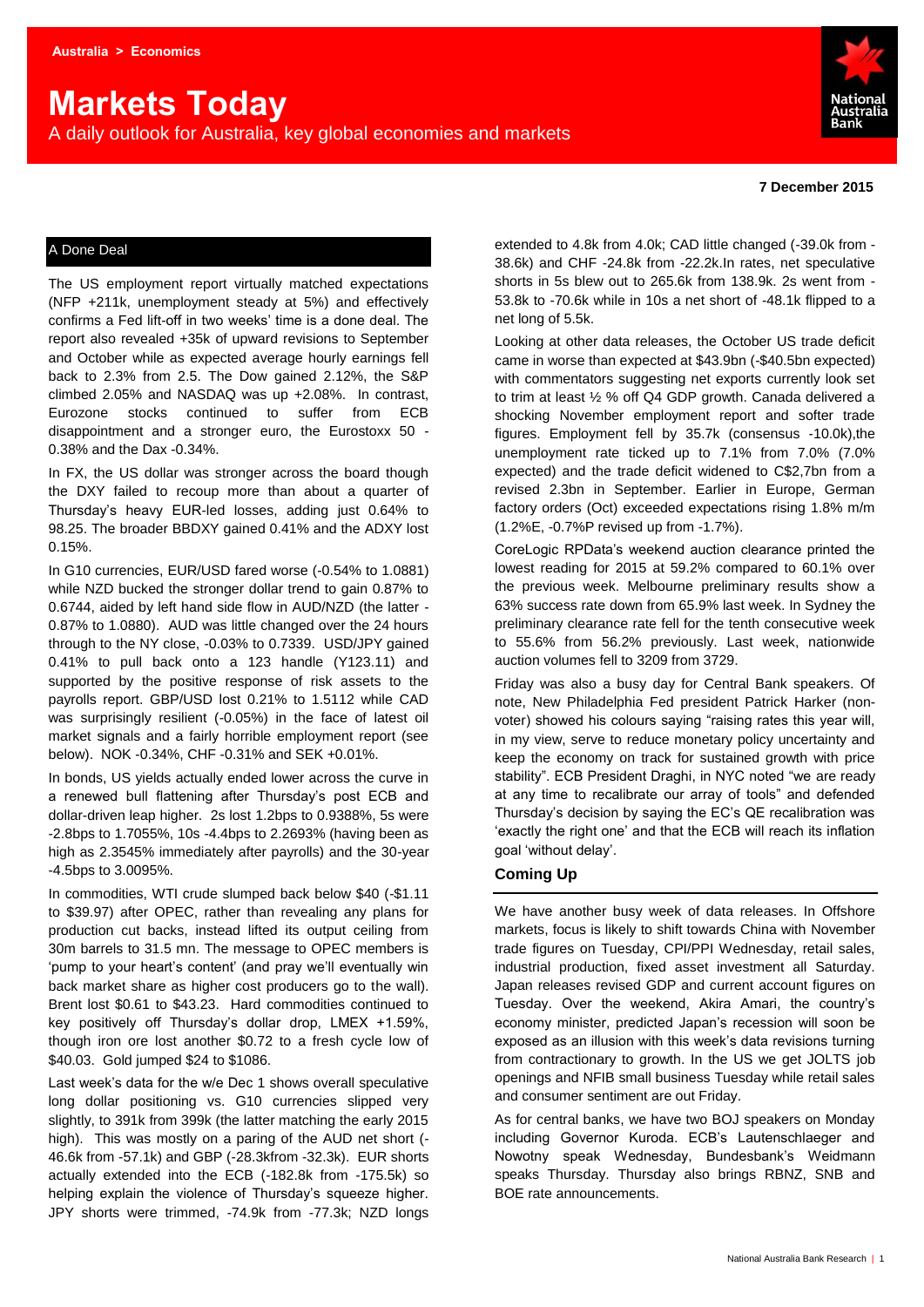# **Markets Today**

A daily outlook for Australia, key global economies and markets



#### **7 December 2015**

#### A Done Deal

The US employment report virtually matched expectations (NFP +211k, unemployment steady at 5%) and effectively confirms a Fed lift-off in two weeks' time is a done deal. The report also revealed +35k of upward revisions to September and October while as expected average hourly earnings fell back to 2.3% from 2.5. The Dow gained 2.12%, the S&P climbed 2.05% and NASDAQ was up +2.08%. In contrast, Eurozone stocks continued to suffer from ECB disappointment and a stronger euro, the Eurostoxx 50 - 0.38% and the Dax -0.34%.

In FX, the US dollar was stronger across the board though the DXY failed to recoup more than about a quarter of Thursday's heavy EUR-led losses, adding just 0.64% to 98.25. The broader BBDXY gained 0.41% and the ADXY lost 0.15%.

In G10 currencies, EUR/USD fared worse (-0.54% to 1.0881) while NZD bucked the stronger dollar trend to gain 0.87% to 0.6744, aided by left hand side flow in AUD/NZD (the latter - 0.87% to 1.0880). AUD was little changed over the 24 hours through to the NY close, -0.03% to 0.7339. USD/JPY gained 0.41% to pull back onto a 123 handle (Y123.11) and supported by the positive response of risk assets to the payrolls report. GBP/USD lost 0.21% to 1.5112 while CAD was surprisingly resilient (-0.05%) in the face of latest oil market signals and a fairly horrible employment report (see below). NOK -0.34%, CHF -0.31% and SEK +0.01%.

In bonds, US yields actually ended lower across the curve in a renewed bull flattening after Thursday's post ECB and dollar-driven leap higher. 2s lost 1.2bps to 0.9388%, 5s were -2.8bps to 1.7055%, 10s -4.4bps to 2.2693% (having been as high as 2.3545% immediately after payrolls) and the 30-year -4.5bps to 3.0095%.

In commodities, WTI crude slumped back below \$40 (-\$1.11 to \$39.97) after OPEC, rather than revealing any plans for production cut backs, instead lifted its output ceiling from 30m barrels to 31.5 mn. The message to OPEC members is 'pump to your heart's content' (and pray we'll eventually win back market share as higher cost producers go to the wall). Brent lost \$0.61 to \$43.23. Hard commodities continued to key positively off Thursday's dollar drop, LMEX +1.59%, though iron ore lost another \$0.72 to a fresh cycle low of \$40.03. Gold jumped \$24 to \$1086.

Last week's data for the w/e Dec 1 shows overall speculative long dollar positioning vs. G10 currencies slipped very slightly, to 391k from 399k (the latter matching the early 2015 high). This was mostly on a paring of the AUD net short (-46.6k from -57.1k) and GBP (-28.3kfrom -32.3k). EUR shorts actually extended into the ECB (-182.8k from -175.5k) so helping explain the violence of Thursday's squeeze higher. JPY shorts were trimmed, -74.9k from -77.3k; NZD longs

extended to 4.8k from 4.0k; CAD little changed (-39.0k from - 38.6k) and CHF -24.8k from -22.2k.In rates, net speculative shorts in 5s blew out to 265.6k from 138.9k. 2s went from - 53.8k to -70.6k while in 10s a net short of -48.1k flipped to a net long of 5.5k.

Looking at other data releases, the October US trade deficit came in worse than expected at \$43.9bn (-\$40.5bn expected) with commentators suggesting net exports currently look set to trim at least ½ % off Q4 GDP growth. Canada delivered a shocking November employment report and softer trade figures. Employment fell by 35.7k (consensus -10.0k),the unemployment rate ticked up to 7.1% from 7.0% (7.0% expected) and the trade deficit widened to C\$2,7bn from a revised 2.3bn in September. Earlier in Europe, German factory orders (Oct) exceeded expectations rising 1.8% m/m (1.2%E, -0.7%P revised up from -1.7%).

CoreLogic RPData's weekend auction clearance printed the lowest reading for 2015 at 59.2% compared to 60.1% over the previous week. Melbourne preliminary results show a 63% success rate down from 65.9% last week. In Sydney the preliminary clearance rate fell for the tenth consecutive week to 55.6% from 56.2% previously. Last week, nationwide auction volumes fell to 3209 from 3729.

Friday was also a busy day for Central Bank speakers. Of note, New Philadelphia Fed president Patrick Harker (nonvoter) showed his colours saying "raising rates this year will, in my view, serve to reduce monetary policy uncertainty and keep the economy on track for sustained growth with price stability". ECB President Draghi, in NYC noted "we are ready at any time to recalibrate our array of tools" and defended Thursday's decision by saying the EC's QE recalibration was 'exactly the right one' and that the ECB will reach its inflation goal 'without delay'.

#### **Coming Up**

We have another busy week of data releases. In Offshore markets, focus is likely to shift towards China with November trade figures on Tuesday, CPI/PPI Wednesday, retail sales, industrial production, fixed asset investment all Saturday. Japan releases revised GDP and current account figures on Tuesday. Over the weekend, Akira Amari, the country's economy minister, predicted Japan's recession will soon be exposed as an illusion with this week's data revisions turning from contractionary to growth. In the US we get JOLTS job openings and NFIB small business Tuesday while retail sales and consumer sentiment are out Friday.

As for central banks, we have two BOJ speakers on Monday including Governor Kuroda. ECB's Lautenschlaeger and Nowotny speak Wednesday, Bundesbank's Weidmann speaks Thursday. Thursday also brings RBNZ, SNB and BOE rate announcements.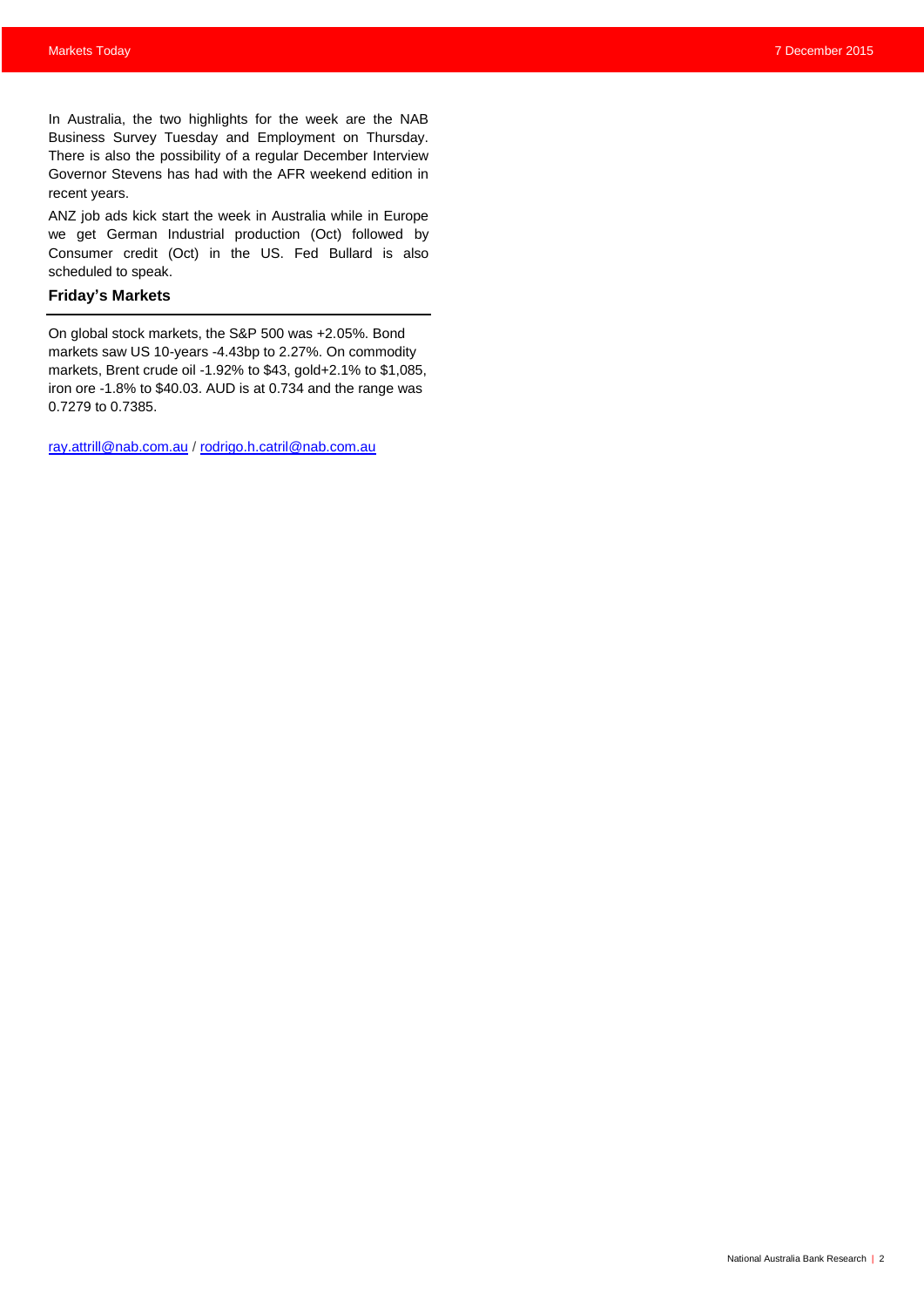In Australia, the two highlights for the week are the NAB Business Survey Tuesday and Employment on Thursday. There is also the possibility of a regular December Interview Governor Stevens has had with the AFR weekend edition in recent years.

ANZ job ads kick start the week in Australia while in Europe we get German Industrial production (Oct) followed by Consumer credit (Oct) in the US. Fed Bullard is also scheduled to speak.

#### **Friday's Markets**

On global stock markets, the S&P 500 was +2.05%. Bond markets saw US 10-years -4.43bp to 2.27%. On commodity markets, Brent crude oil -1.92% to \$43, gold+2.1% to \$1,085, iron ore -1.8% to \$40.03. AUD is at 0.734 and the range was 0.7279 to 0.7385.

[ray.attrill@nab.com.au](mailto:ray.attrill@nab.com.au) / [rodrigo.h.catril@nab.com.au](mailto:rodrigo.h.catril@nab.com.au)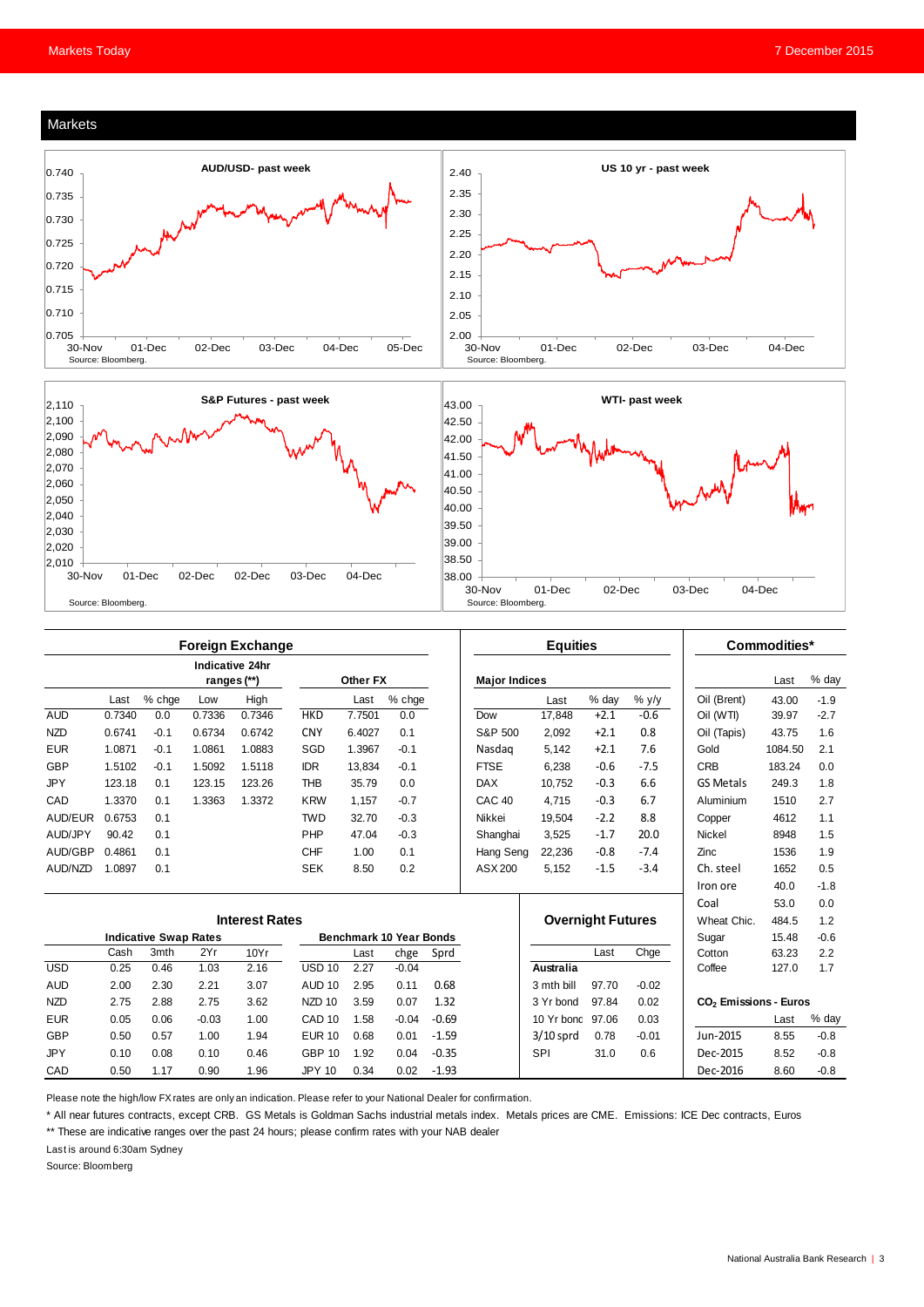





|                       | <b>Foreign Exchange</b>      |        |         |                                |                   |                         |          | <b>Equities</b> |                          |                                                                 |        | Commodities* |                  |         |        |
|-----------------------|------------------------------|--------|---------|--------------------------------|-------------------|-------------------------|----------|-----------------|--------------------------|-----------------------------------------------------------------|--------|--------------|------------------|---------|--------|
|                       |                              |        |         | Indicative 24hr<br>ranges (**) |                   | Other FX                |          |                 | <b>Major Indices</b>     |                                                                 |        |              |                  | Last    | % day  |
|                       | Last                         | % chge | Low     | High                           |                   | Last                    | $%$ chge |                 |                          | Last                                                            | % day  | $%$ y/y      | Oil (Brent)      | 43.00   | $-1.9$ |
| <b>AUD</b>            | 0.7340                       | 0.0    | 0.7336  | 0.7346                         | <b>HKD</b>        | 7.7501                  | 0.0      |                 | Dow                      | 17,848                                                          | $+2.1$ | $-0.6$       | Oil (WTI)        | 39.97   | $-2.7$ |
| <b>NZD</b>            | 0.6741                       | $-0.1$ | 0.6734  | 0.6742                         | <b>CNY</b>        | 6.4027                  | 0.1      |                 | S&P 500                  | 2.092                                                           | $+2.1$ | 0.8          | Oil (Tapis)      | 43.75   | 1.6    |
| <b>EUR</b>            | 1.0871                       | $-0.1$ | 1.0861  | 1.0883                         | SGD               | 1.3967                  | $-0.1$   |                 | Nasdag                   | 5.142                                                           | $+2.1$ | 7.6          | Gold             | 1084.50 | 2.1    |
| GBP                   | 1.5102                       | $-0.1$ | 1.5092  | 1.5118                         | <b>IDR</b>        | 13,834                  | $-0.1$   |                 | <b>FTSE</b>              | 6,238                                                           | $-0.6$ | $-7.5$       | <b>CRB</b>       | 183.24  | 0.0    |
| <b>JPY</b>            | 123.18                       | 0.1    | 123.15  | 123.26                         | <b>THB</b>        | 35.79                   | 0.0      |                 | <b>DAX</b>               | 10.752                                                          | $-0.3$ | 6.6          | <b>GS Metals</b> | 249.3   | 1.8    |
| CAD                   | 1.3370                       | 0.1    | 1.3363  | 1.3372                         | <b>KRW</b>        | 1.157                   | $-0.7$   |                 | CAC <sub>40</sub>        | 4.715                                                           | $-0.3$ | 6.7          | Aluminium        | 1510    | 2.7    |
| AUD/EUR               | 0.6753                       | 0.1    |         |                                | <b>TWD</b>        | 32.70                   | $-0.3$   |                 | Nikkei                   | 19,504                                                          | $-2.2$ | 8.8          | Copper           | 4612    | 1.1    |
| AUD/JPY               | 90.42                        | 0.1    |         |                                | PHP               | 47.04                   | $-0.3$   |                 | Shanghai                 | 3,525                                                           | $-1.7$ | 20.0         | <b>Nickel</b>    | 8948    | 1.5    |
| AUD/GBP               | 0.4861                       | 0.1    |         |                                | <b>CHF</b>        | 1.00                    | 0.1      |                 | Hang Seng                | 22,236                                                          | $-0.8$ | $-7.4$       | Zinc             | 1536    | 1.9    |
| AUD/NZD               | 1.0897                       | 0.1    |         |                                | <b>SEK</b>        | 8.50                    | 0.2      |                 | ASX 200                  | 5.152                                                           | $-1.5$ | $-3.4$       | Ch. steel        | 1652    | 0.5    |
|                       |                              |        |         |                                |                   |                         |          |                 |                          |                                                                 |        |              | Iron ore         | 40.0    | $-1.8$ |
|                       |                              |        |         |                                |                   |                         |          |                 |                          |                                                                 |        |              | Coal             | 53.0    | 0.0    |
| <b>Interest Rates</b> |                              |        |         |                                |                   |                         |          |                 | <b>Overnight Futures</b> |                                                                 |        | Wheat Chic.  | 484.5            | 1.2     |        |
|                       | <b>Indicative Swap Rates</b> |        |         |                                |                   | Benchmark 10 Year Bonds |          |                 |                          |                                                                 |        |              | Sugar            | 15.48   | $-0.6$ |
|                       | Cash                         | 3mth   | 2Yr     | 10Yr                           |                   | Last                    | chge     | Sprd            |                          |                                                                 | Last   | Chge         | Cotton           | 63.23   | 2.2    |
| <b>USD</b>            | 0.25                         | 0.46   | 1.03    | 2.16                           | <b>USD 10</b>     | 2.27                    | $-0.04$  |                 |                          | Australia                                                       |        |              | Coffee           | 127.0   | 1.7    |
| <b>AUD</b>            | 2.00                         | 2.30   | 2.21    | 3.07                           | <b>AUD 10</b>     | 2.95                    | 0.11     | 0.68            |                          | 3 mth bill                                                      | 97.70  | $-0.02$      |                  |         |        |
| <b>NZD</b>            | 2.75                         | 2.88   | 2.75    | 3.62                           | NZD <sub>10</sub> | 3.59                    | 0.07     | 1.32            |                          | 97.84<br>0.02<br>CO <sub>2</sub> Emissions - Euros<br>3 Yr bond |        |              |                  |         |        |
| <b>EUR</b>            | 0.05                         | 0.06   | $-0.03$ | 1.00                           | CAD <sub>10</sub> | 1.58                    | $-0.04$  | $-0.69$         |                          | 10 Yr bond 97.06                                                |        | 0.03         |                  | Last    | % day  |
| GBP                   | 0.50                         | 0.57   | 1.00    | 1.94                           | <b>EUR 10</b>     | 0.68                    | 0.01     | $-1.59$         |                          | $3/10$ sprd                                                     | 0.78   | $-0.01$      | Jun-2015         | 8.55    | $-0.8$ |
| <b>JPY</b>            | 0.10                         | 0.08   | 0.10    | 0.46                           | <b>GBP 10</b>     | 1.92                    | 0.04     | $-0.35$         |                          | <b>SPI</b>                                                      | 31.0   | 0.6          | Dec-2015         | 8.52    | $-0.8$ |
| CAD                   | 0.50                         | 1.17   | 0.90    | 1.96                           | <b>JPY 10</b>     | 0.34                    | 0.02     | $-1.93$         |                          |                                                                 |        |              | Dec-2016         | 8.60    | $-0.8$ |

Please note the high/low FX rates are only an indication. Please refer to your National Dealer for confirmation.

\* All near futures contracts, except CRB. GS Metals is Goldman Sachs industrial metals index. Metals prices are CME. Emissions: ICE Dec contracts, Euros

\*\* These are indicative ranges over the past 24 hours; please confirm rates with your NAB dealer

Last is around 6:30am Sydney

Source: Bloomberg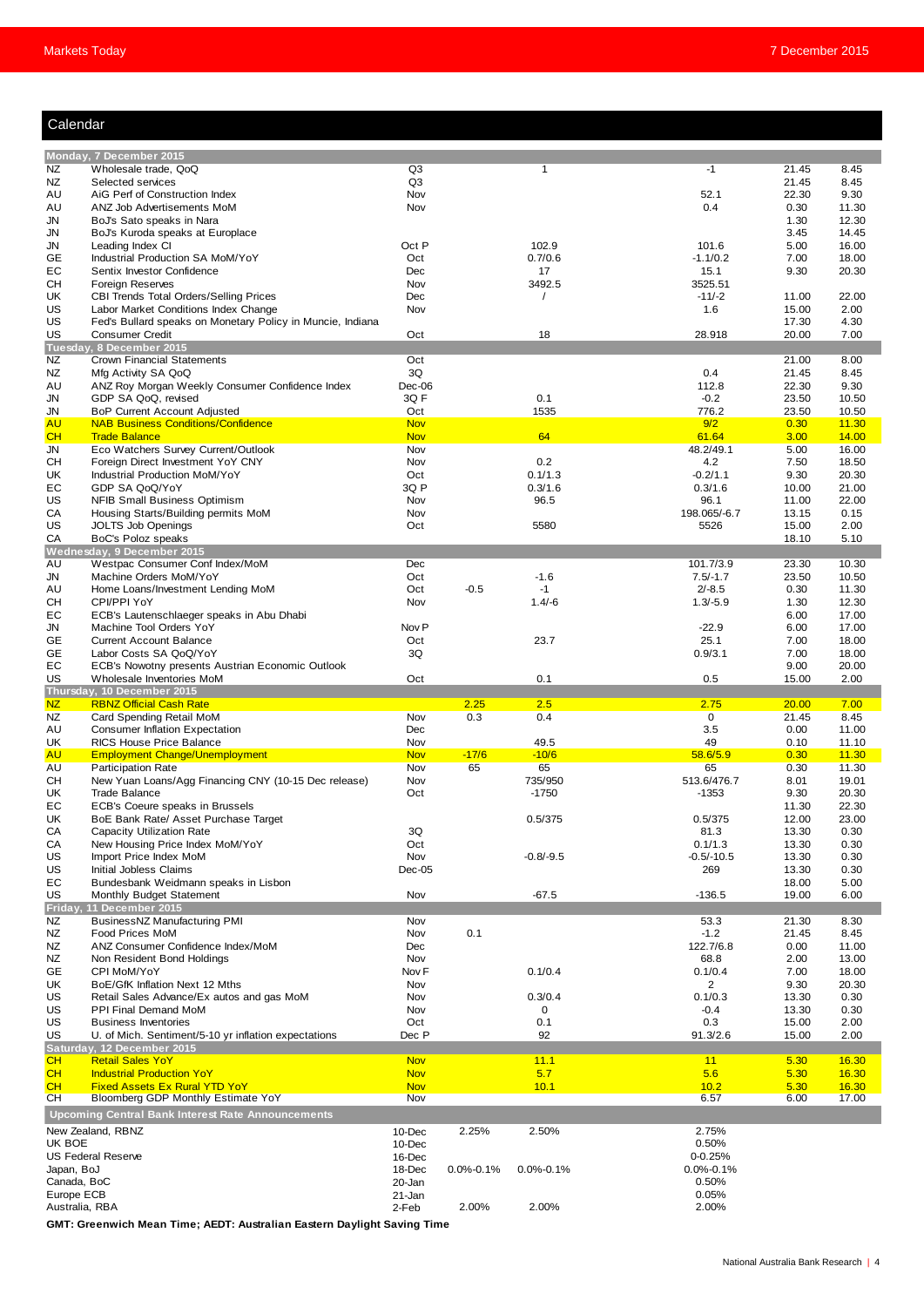| Calendar |  |
|----------|--|
|          |  |
|          |  |

| Calendar                     |                                                                          |                          |                 |                      |                      |                |                |
|------------------------------|--------------------------------------------------------------------------|--------------------------|-----------------|----------------------|----------------------|----------------|----------------|
|                              |                                                                          |                          |                 |                      |                      |                |                |
|                              | Monday, 7 December 2015                                                  |                          |                 |                      |                      |                |                |
| NZ                           | Wholesale trade, QoQ                                                     | Q3                       |                 | $\mathbf{1}$         | $-1$                 | 21.45          | 8.45           |
| ΝZ<br>AU                     | Selected services<br>AiG Perf of Construction Index                      | Q <sub>3</sub><br>Nov    |                 |                      | 52.1                 | 21.45<br>22.30 | 8.45<br>9.30   |
| AU                           | ANZ Job Advertisements MoM                                               | Nov                      |                 |                      | 0.4                  | 0.30           | 11.30          |
| JN                           | BoJ's Sato speaks in Nara                                                |                          |                 |                      |                      | 1.30           | 12.30          |
| JN                           | BoJ's Kuroda speaks at Europlace                                         |                          |                 |                      |                      | 3.45           | 14.45          |
| JN                           | Leading Index CI                                                         | Oct P                    |                 | 102.9                | 101.6                | 5.00           | 16.00          |
| GЕ                           | Industrial Production SA MoM/YoY                                         | Oct                      |                 | 0.7/0.6              | $-1.1/0.2$           | 7.00           | 18.00          |
| EС                           | Sentix Investor Confidence                                               | Dec                      |                 | 17                   | 15.1                 | 9.30           | 20.30          |
| CН<br>UK                     | Foreign Reserves<br>CBI Trends Total Orders/Selling Prices               | Nov<br>Dec               |                 | 3492.5<br>$\sqrt{2}$ | 3525.51<br>$-11/-2$  | 11.00          | 22.00          |
| US                           | Labor Market Conditions Index Change                                     | Nov                      |                 |                      | 1.6                  | 15.00          | 2.00           |
| US                           | Fed's Bullard speaks on Monetary Policy in Muncie, Indiana               |                          |                 |                      |                      | 17.30          | 4.30           |
| US                           | <b>Consumer Credit</b>                                                   | Oct                      |                 | 18                   | 28.918               | 20.00          | 7.00           |
|                              | Tuesday, 8 December 2015                                                 |                          |                 |                      |                      |                |                |
| ΝZ                           | Crown Financial Statements                                               | Oct                      |                 |                      |                      | 21.00          | 8.00           |
| ΝZ                           | Mfg Activity SA QoQ                                                      | 3Q                       |                 |                      | 0.4                  | 21.45          | 8.45           |
| AU<br>JN                     | ANZ Roy Morgan Weekly Consumer Confidence Index<br>GDP SA QoQ, revised   | Dec-06<br>3QF            |                 | 0.1                  | 112.8<br>$-0.2$      | 22.30<br>23.50 | 9.30<br>10.50  |
| JN                           | <b>BoP Current Account Adjusted</b>                                      | Oct                      |                 | 1535                 | 776.2                | 23.50          | 10.50          |
| AU                           | <b>NAB Business Conditions/Confidence</b>                                | <b>Nov</b>               |                 |                      | 9/2                  | 0.30           | 11.30          |
| CH                           | <b>Trade Balance</b>                                                     | <b>Nov</b>               |                 | 64                   | 61.64                | 3.00           | 14.00          |
| JN                           | Eco Watchers Survey Current/Outlook                                      | Nov                      |                 |                      | 48.2/49.1            | 5.00           | 16.00          |
| CН                           | Foreign Direct Investment YoY CNY                                        | Nov                      |                 | 0.2                  | 4.2                  | 7.50           | 18.50          |
| UK                           | Industrial Production MoM/YoY                                            | Oct                      |                 | 0.1/1.3              | $-0.2/1.1$           | 9.30           | 20.30          |
| EС                           | GDP SA QoQ/YoY                                                           | 3Q P                     |                 | 0.3/1.6              | 0.3/1.6              | 10.00          | 21.00          |
| US<br>CА                     | NFIB Small Business Optimism<br>Housing Starts/Building permits MoM      | Nov<br>Nov               |                 | 96.5                 | 96.1<br>198.065/-6.7 | 11.00<br>13.15 | 22.00<br>0.15  |
| US                           | <b>JOLTS Job Openings</b>                                                | Oct                      |                 | 5580                 | 5526                 | 15.00          | 2.00           |
| СA                           | BoC's Poloz speaks                                                       |                          |                 |                      |                      | 18.10          | 5.10           |
|                              | Wednesday, 9 December 2015                                               |                          |                 |                      |                      |                |                |
| AU                           | Westpac Consumer Conf Index/MoM                                          | Dec                      |                 |                      | 101.7/3.9            | 23.30          | 10.30          |
| JN                           | Machine Orders MoM/YoY                                                   | Oct                      |                 | $-1.6$               | $7.5/-1.7$           | 23.50          | 10.50          |
| AU                           | Home Loans/Investment Lending MoM                                        | Oct                      | $-0.5$          | $-1$                 | $2/-8.5$             | 0.30           | 11.30          |
| CН                           | CPI/PPI YoY                                                              | Nov                      |                 | $1.4/-6$             | $1.3/-5.9$           | 1.30           | 12.30          |
| EС<br>JN                     | ECB's Lautenschlaeger speaks in Abu Dhabi<br>Machine Tool Orders YoY     | Nov <sub>P</sub>         |                 |                      | $-22.9$              | 6.00<br>6.00   | 17.00<br>17.00 |
| GЕ                           | <b>Current Account Balance</b>                                           | Oct                      |                 | 23.7                 | 25.1                 | 7.00           | 18.00          |
| GЕ                           | Labor Costs SA QoQ/YoY                                                   | 3Q                       |                 |                      | 0.9/3.1              | 7.00           | 18.00          |
| EС                           | ECB's Nowotny presents Austrian Economic Outlook                         |                          |                 |                      |                      | 9.00           | 20.00          |
| US                           | Wholesale Inventories MoM                                                | Oct                      |                 | 0.1                  | 0.5                  | 15.00          | 2.00           |
|                              | Thursday, 10 December 2015                                               |                          |                 |                      |                      |                |                |
| NZ.                          | <b>RBNZ Official Cash Rate</b>                                           |                          | 2.25            | 2.5                  | 2.75                 | 20.00          | 7.00           |
| ΝZ                           | Card Spending Retail MoM<br><b>Consumer Inflation Expectation</b>        | Nov<br>Dec               | 0.3             | 0.4                  | 0<br>3.5             | 21.45<br>0.00  | 8.45           |
| AU<br>UΚ                     | <b>RICS House Price Balance</b>                                          | Nov                      |                 | 49.5                 | 49                   | 0.10           | 11.00<br>11.10 |
| AU                           | <b>Employment Change/Unemployment</b>                                    | <b>Nov</b>               | $-17/6$         | $-10/6$              | 58.6/5.9             | 0.30           | 11.30          |
| AU                           | Participation Rate                                                       | Nov                      | 65              | 65                   | 65                   | 0.30           | 11.30          |
| CН                           | New Yuan Loans/Agg Financing CNY (10-15 Dec release)                     | Nov                      |                 | 735/950              | 513.6/476.7          | 8.01           | 19.01          |
| UΚ                           | <b>Trade Balance</b>                                                     | Oct                      |                 | $-1750$              | $-1353$              | 9.30           | 20.30          |
| ЕC                           | ECB's Coeure speaks in Brussels                                          |                          |                 |                      |                      | 11.30          | 22.30          |
| UK                           | BoE Bank Rate/ Asset Purchase Target<br><b>Capacity Utilization Rate</b> |                          |                 | 0.5/375              | 0.5/375              | 12.00          | 23.00          |
| СA<br>CА                     | New Housing Price Index MoM/YoY                                          | 3Q<br>Oct                |                 |                      | 81.3<br>0.1/1.3      | 13.30<br>13.30 | 0.30<br>0.30   |
| US                           | Import Price Index MoM                                                   | Nov                      |                 | $-0.8/-9.5$          | $-0.5/-10.5$         | 13.30          | 0.30           |
| US                           | Initial Jobless Claims                                                   | $Dec-05$                 |                 |                      | 269                  | 13.30          | 0.30           |
| EС                           | Bundesbank Weidmann speaks in Lisbon                                     |                          |                 |                      |                      | 18.00          | 5.00           |
| US                           | Monthly Budget Statement                                                 | Nov                      |                 | $-67.5$              | $-136.5$             | 19.00          | 6.00           |
| <b>Friday</b>                | 11 December 2015                                                         |                          |                 |                      |                      |                |                |
| ΝZ                           | BusinessNZ Manufacturing PMI                                             | Nov                      |                 |                      | 53.3                 | 21.30          | 8.30           |
| ΝZ<br>ΝZ                     | Food Prices MoM<br>ANZ Consumer Confidence Index/MoM                     | Nov<br>Dec               | 0.1             |                      | $-1.2$<br>122.7/6.8  | 21.45<br>0.00  | 8.45<br>11.00  |
| ΝZ                           |                                                                          | Nov                      |                 |                      | 68.8                 | 2.00           | 13.00          |
| GE                           |                                                                          |                          |                 |                      |                      |                | 18.00          |
|                              | Non Resident Bond Holdings                                               |                          |                 |                      |                      |                |                |
| UK                           | CPI MoM/YoY<br>BoE/GfK Inflation Next 12 Mths                            | Nov <sub>F</sub><br>Nov  |                 | 0.1/0.4              | 0.1/0.4<br>2         | 7.00<br>9.30   | 20.30          |
| US                           | Retail Sales Advance/Ex autos and gas MoM                                | Nov                      |                 | 0.3/0.4              | 0.1/0.3              | 13.30          | 0.30           |
| US                           | PPI Final Demand MoM                                                     | Nov                      |                 | 0                    | $-0.4$               | 13.30          | 0.30           |
| US                           | <b>Business Inventories</b>                                              | Oct                      |                 | 0.1                  | 0.3                  | 15.00          | 2.00           |
| US                           | U. of Mich. Sentiment/5-10 yr inflation expectations                     | Dec P                    |                 | 92                   | 91.3/2.6             | 15.00          | 2.00           |
|                              | Saturday, 12 December 2015                                               |                          |                 |                      |                      |                |                |
| CH                           | <b>Retail Sales YoY</b>                                                  | <b>Nov</b>               |                 | 11.1                 | 11                   | 5.30           | <b>16.30</b>   |
| CH<br>CH                     | <b>Industrial Production YoY</b><br><b>Fixed Assets Ex Rural YTD YoY</b> | <b>Nov</b><br><b>Nov</b> |                 | 5.7<br>10.1          | 5.6<br>10.2          | 5.30<br>5.30   | 16.30<br>16.30 |
| CН                           | Bloomberg GDP Monthly Estimate YoY                                       | Nov                      |                 |                      | 6.57                 | 6.00           | 17.00          |
|                              | <b>Upcoming Central Bank Interest Rate Announcements</b>                 |                          |                 |                      |                      |                |                |
|                              |                                                                          |                          |                 |                      |                      |                |                |
| UK BOE                       | New Zealand, RBNZ                                                        | 10-Dec<br>10-Dec         | 2.25%           | 2.50%                | 2.75%<br>0.50%       |                |                |
|                              | <b>US Federal Reserve</b>                                                | 16-Dec                   |                 |                      | 0-0.25%              |                |                |
| Japan, BoJ                   |                                                                          | 18-Dec                   | $0.0\% - 0.1\%$ | $0.0\% - 0.1\%$      | $0.0\% - 0.1\%$      |                |                |
| Canada, BoC                  |                                                                          | 20-Jan                   |                 |                      | 0.50%                |                |                |
| Europe ECB<br>Australia, RBA |                                                                          | 21-Jan<br>2-Feb          | 2.00%           | 2.00%                | 0.05%<br>2.00%       |                |                |

**GMT: Greenwich Mean Time; AEDT: Australian Eastern Daylight Saving Time**